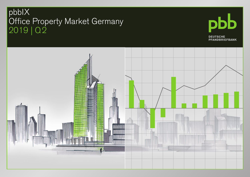# pbbIX Office Property Market Germany 2019 | Q2



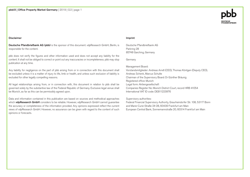#### Disclaimer

Deutsche Pfandbriefbank AG (pbb) is the sponsor of this document. vdpResearch GmbH, Berlin, is responsible for the content.

pbb does not verify the figures and other information used and does not accept any liability for the content. It shall not be obliged to correct or point out any inaccuracies or incompleteness. pbb may stop publication at any time.

Any liability for negligence on the part of pbb arising from or in connection with this document shall be excluded unless it is a matter of injury to life, limb or health, and unless such exclusion of liability is excluded for other legally compelling reasons.

All legal relationships arising from, or in connection with, this document in relation to pbb shall be governed solely by the substantive law of the Federal Republic of Germany. Exclusive legal venue shall be Munich, as far as this can be permissibly agreed upon.

Data and information contained in this publication are based on sources and methodical approaches which vdpResearch GmbH considers to be reliable. However, vdpResearch GmbH cannot guarantee the accuracy or completeness of the information provided. Any opinions expressed reflect the current views of vdpResearch GmbH. However, no assurance can be given with regard to the content of such opinions or forecasts.

#### Imprint

Deutsche Pfandbriefbank AG Parkring 28 85748 Garching, Germany

Germany

### Management Board:

Vorstandsmitglieder: Andreas Arndt (CEO), Thomas Köntgen (Deputy CEO), Andreas Schenk, Marcus Schulte Chairman of the Supervisory Board: Dr Günther Bräunig Registered office: Munich Legal form: Aktiengesellschaft Companies Register No: Munich District Court, record HRB 41054 International VAT ID code: DE811223976

#### Supervisory authorities:

Federal Financial Supervisory Authority, Graurheindorfer Str. 108, 53117 Bonn and Marie-Curie-Straße 24-28, 60439 Frankfurt am Main European Central Bank, Sonnemannstraße 20, 60314 Frankfurt am Main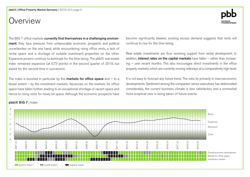# Overview

The BIG 7 office markets currently find themselves in a challenging environment: they face pressure from unfavourable economic prospects and political uncertainties on the one hand, while encountering rising office rents, a lack of rental space and a shortage of suitable investment properties on the other. Expansive powers continue to dominate for the time being. The pbbIX real estate index remained expansive (at 0.73 points) in the second quarter of 2019, but eased for the second time in succession.

The index is boosted in particular by the **markets for office space** and  $-$  to a lesser extent – by the investment markets. Vacancies on the markets for office space have fallen further, leading to an exceptional shortage of vacant space and hence to rising rents for newly let space. Although the economic prospects have become significantly bleaker, existing excess demand suggests that rents will continue to rise for the time being.

Real estate investments are thus receiving support from rental development. In addition, interest rates on the capital markets have fallen  $-$  rather than increasing – over recent months. This also encourages direct investments in the office property markets, which are currently moving sideways at a comparatively high level.

It is not easy to forecast any future trend. The risks lie primarily in macroeconomic developments. Sentiment among the companies' senior executives has deteriorated considerably, the current business climate is less satisfactory and a somewhat more sceptical view is being taken of future events.



# pbbIX BIG 7 | Index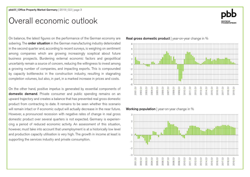# Overall economic outlook

On balance, the latest figures on the performance of the German economy are sobering. The **order situation** in the German manufacturing industry deteriorated in the second quarter and, according to recent surveys, is weighing on sentiment among companies which are growing increasingly sceptical about future business prospects. Burdening external economic factors and geopolitical uncertainty remain a source of concern, reducing the willingness to invest among a growing number of companies, and impacting exports. This is compounded by capacity bottlenecks in the construction industry, resulting in stagnating completion volumes, but also, in part, in a marked increase in prices and costs.

On the other hand, positive impetus is generated by essential components of domestic demand. Private consumer and public spending remains on an upward trajectory and creates a balance that has prevented real gross domestic product from contracting to date. It remains to be seen whether this scenario will remain intact or if economic output will actually decrease in the near future. However, a pronounced recession with negative rates of change in real gross domestic product over several quarters is not expected. Germany is experiencing a period of reduced economic activity. An assessment of this situation, however, must take into account that unemployment is at a historically low level and production capacity utilisation is very high. The growth in income at least is supporting the services industry and private consumption.

Real gross domestic product | year-on-year change in %



Working population | year-on-year change in %



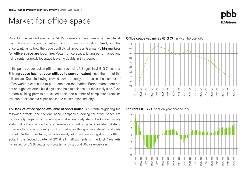# Market for office space

Data for the second quarter of 2019 conveys a clear message: despite all the political and economic risks, the tug-of-war surrounding Brexit, and the uncertainty as to how the trade conflicts will progress, Germany's **big markets** for office space are booming. Vacant office space, letting performance and rising rents for newly let space leave no doubts in this respect.

In the period under review, office space vacancies fell again in all BIG 7 markets. Existing space has not been utilised to such an extent since the turn of the millennium. Despite having slowed down recently, the rise in the number of office workers continues to put a strain on the market. Furthermore, there are not enough new office buildings being built to balance out the supply side. Even if more building permits are issued again, the number of completions remains low due to exhausted capacities in the construction industry.

The lack of office space available at short notice is currently triggering the following effects: one the one hand, companies looking for office space are increasingly prepared to secure space at a very early stage. Brokers expressly state that office space is being increasingly rented off-plan. A substantial share of new office space coming to the market in the quarters ahead is already pre-let. On the other hand, rents for newly let space are rising due to bottlenecks. In the second quarter of 2019, all in all top rents on the BIG 7 markets increased by 2.3% quarter-on-quarter, or by around 8% year-on-year.





### Top rents (BIG 7) | year-on-year change in  $%$

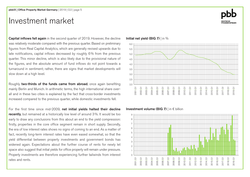# Investment market

Capital inflows fell again in the second quarter of 2019. However, the decline was relatively moderate compared with the previous quarter. Based on preliminary figures from Real Capital Analytics, which are generally revised upwards due to late notifications, capital inflows decreased by roughly 6% from the previous quarter. This minor decline, which is also likely due to the provisional nature of the figures, and the absolute amount of fund inflows do not point towards a turnaround in sentiment; rather, there are signs that market developments will slow down at a high level.

Roughly two-thirds of the funds came from abroad, once again benefiting mainly Berlin and Munich. In arithmetic terms, the high international share overall and in these two cities is explained by the fact that cross-border investments increased compared to the previous quarter, while domestic investments fell.

For the first time since mid-2009, net initial yields halted their decline recently, but remained at a historically low level of around 3%. It would be too early to draw any conclusions from this about an end to the yield compression: firstly, properties in the core office segment remain in short supply. Secondly, the era of low interest rates shows no signs of coming to an end. As a matter of fact, recently long-term interest rates have even eased somewhat, so that the yield differential between property investments and government bonds has widened again. Expectations about the further course of rents for newly let space also suggest that initial yields for office property will remain under pressure. Property investments are therefore experiencing further tailwinds from interest rates and rents.

### Initial net yield (BIG 7) | in %



### Investment volume (BIG 7) | in € billion

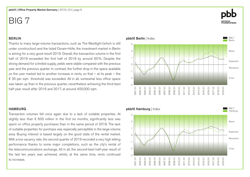# BERLIN

Thanks to many large-volume transactions, such as The Westlight (which is still under construction) and the listed Osram-Höfe, the investment market in Berlin is aiming for a very good result 2019. Overall, the transaction volume in the first half of 2019 exceeded the first half of 2018 by around 60%. Despite the strong demand for a limited supply, yields were stable compared with the previous year and the previous quarter. In contrast, the further drop in the space available on the user market led to another increase in rents, so that – at its peak – the € 35 per sqm threshold was exceeded. All in all, somewhat less office space was taken up than in the previous quarter, nevertheless achieving the third-best half-year result after 2016 and 2017, at around 400,000 sqm.

### **HAMBURG**

Transaction volumes fell once again due to a lack of suitable properties. At slightly less than  $\epsilon$  600 million in the first six months, significantly less was spent on office property purchases than in the same period of 2018. The lack of suitable properties for purchase was especially perceptible in the large-volume area. Buying interest is based largely on the good state of the rental market. With a low vacancy rate, the second quarter of 2019 recorded a very high letting performance thanks to some major completions, such as the city's rental of the telecommunications exchange. All in all, the second-best half-year result of the last ten years was achieved, whilst, at the same time, rents continued to increase.



-3

-2



2013|Q1 2014|Q1 2015|Q1 2016|Q1 2017|Q1 2018|Q1 2019|Q1

2012|Q1 2011|Q1 2010|Q1 2009|Q1 2008|Q1 2007|Q1 2006|Q1 2005|Q1 2004|Q1 2003|Q1 2002|Q1 2001|Q1

BIG 7 Berlin

Boom

**Recession** 

Expansion

Crisis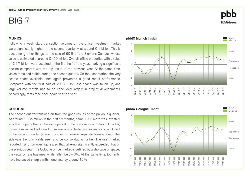### MUNICH

Following a weak start, transaction volumes on the office investment market were significantly higher in the second quarter – at around  $\epsilon$  1 billion. This is due, among other things, to the sale of 60% of the Siemens Campus, whose value is estimated at around € 450 million. Overall, office properties with a value of  $€$  1.7 billion were acquired in the first half of the year, marking a significant decline compared with the top result of the previous year. At the same time, yields remained stable during the second quarter. On the user market, the very scarce space available once again prevented a good rental performance. Compared with the first half of 2018, 10% less space was taken up, and large-volume rentals had to be concluded largely in project developments. Accordingly, rents rose once again year-on-year.

### COLOGNE

The second quarter followed on from the good results of the previous quarter. At around € 385 million in the first six months, some 10% more was invested in office property than in the same period of the previous year. Kölnisch Quartier, formerly known as Barthonia Forum, was one of the largest transactions concluded in the second quarter (it was disposed in several separate transactions). The sideways trend in yields seems to be consolidating further. The user market reported rising turnover figures, so that take-up significantly exceeded that of the previous year. The Cologne office market is defined by a shortage of space; the vacancy rate has meanwhile fallen below 3%. At the same time, top rents have increased sharply within one year by around 10%.

### pbbIX Munich | Index BIG 7 **Munich** Boom **Recession** Expansion 2 1  $\Omega$ -1 3

-3

-2



2013|Q1 2014|Q1 2015|Q1 2016|Q1 2017|Q1 2018|Q1 2019|Q1

2012|Q1 2011|Q1 2010|Q1 2009|Q1 2008|Q1 2007|Q1 2006|Q1 2005|Q1 2004|Q1 2003|Q1 2002|Q1 2001|Q1

Crisis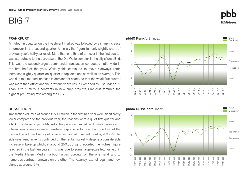## FRANKFURT

A muted first quarter on the investment market was followed by a sharp increase in turnover in the second quarter. All in all, the figure fell only slightly short of previous year's half-year result. More than one third of turnover in the first quarter was attributable to the purchase of the Die Welle complex in the city's West End. This was the second-largest commercial transaction conducted nationwide in the first half of the year. While yields continued to move sideways, rents increased slightly quarter-on-quarter in top locations as well as on average. This was due to a marked increase in demand for space, so that the weak first quarter was more than offset and the previous year's result exceeded by just under 5%. Thanks to numerous contracts in new-build projects, Frankfurt features the highest pre-letting rate among the BIG 7.

### DUSSELDORF

Transaction volumes of around € 500 million in the first half-year were significantly lower compared to the previous year; the reasons were a quiet first quarter and a lack of suitable projects. Market activity was dominated by domestic investors – international investors were therefore responsible for less than one third of the transaction volume. Prime yields were unchanged in recent months, at 3.2%. The sideways trend in rents continued on the rental market – despite a considerable increase in take-up which, at around 250,000 sqm, recorded the highest figure reached in the last ten years. This was due to some large-scale lettings, e.g. in the MedienHafen (Media Harbour) urban borough on the one hand, and to numerous contract renewals on the other. The vacancy rate fell again and now stands at around 6%.

#### pbbIX Frankfurt | Index BIG 7 Frankfur Boom **Recession** Crisis Expansion -3 2 1  $\Omega$ -1 -2 3 2013|Q1 2014|Q1 2015|Q1 2016|Q1 2017|Q1 2018|Q1 2019|Q1 2012|Q1 2011|Q1 2010|Q1 2009|Q1 2008|Q1 2007|Q1 2006|Q1 2005|Q1 2004|Q1 2003|Q1 2002|Q1 2001|Q1



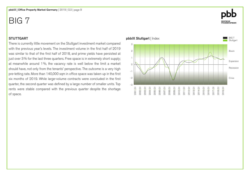### **STUTTGART**

There is currently little movement on the Stuttgart investment market compared with the previous year's levels. The investment volume in the first half of 2019 was similar to that of the first half of 2018, and prime yields have persisted at just over 3% for the last three quarters. Free space is in extremely short supply; at meanwhile around 1%, the vacancy rate is well below the limit a market should have, not only from the tenants' perspective. The outcome is a very high pre-letting rate. More than 140,000 sqm in office space was taken up in the first six months of 2019. While large-volume contracts were concluded in the first quarter, the second quarter was defined by a large number of smaller units. Top rents were stable compared with the previous quarter despite the shortage of space.



# **DEUTSCHE<br>PFANDBRIEFBANK**